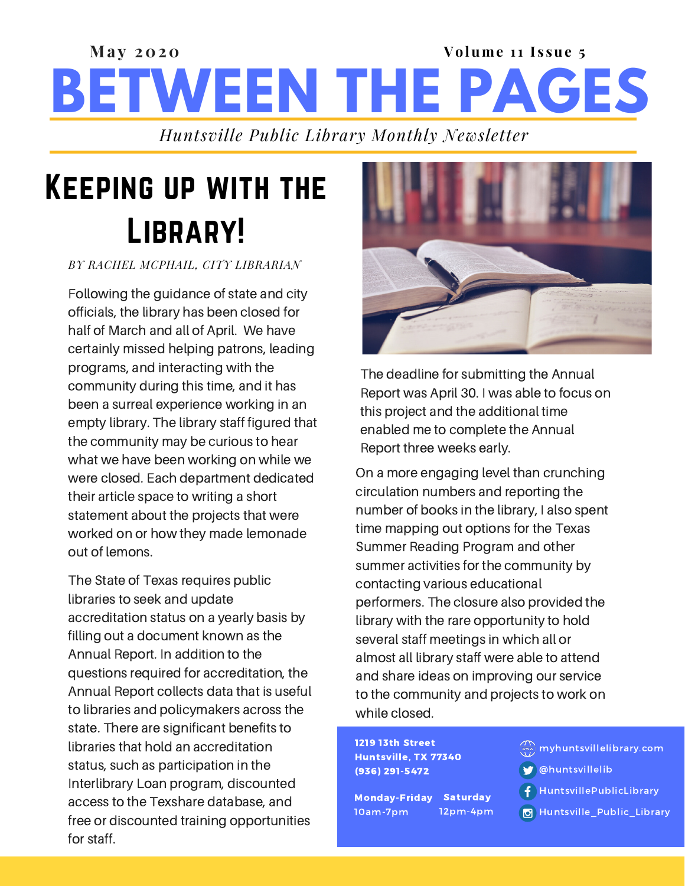### **BETWEEN THE PAGES Ma y 2020 Volume 11 I s sue 5** *Huntsville Public Library Monthly Newsletter*

Keeping up with the LIBRARY!

*BY RACHEL MCPHAIL, CITY LIBRARIAN*

Following the guidance of state and city officials, the library has been closed for half of March and all of April. We have certainly missed helping patrons, leading programs, and interacting with the community during this time, and it has been a surreal experience working in an empty library. The library staff figured that the community may be curious to hear what we have been working on while we were closed. Each department dedicated their article space to writing a short statement about the projects that were worked on or how they made lemonade out of lemons.

The State of Texas requires public libraries to seek and update accreditation status on a yearly basis by filling out a document known as the Annual Report. In addition to the questions required for accreditation, the Annual Report collects data that is useful to libraries and policymakers across the state. There are significant benefits to libraries that hold an accreditation status, such as participation in the Interlibrary Loan program, discounted access to the Texshare database, and free or discounted training opportunities for staff.



The deadline for submitting the Annual Report was April 30. I was able to focus on this project and the additional time enabled me to complete the Annual Report three weeks early.

On a more engaging level than crunching circulation numbers and reporting the number of books in the library, I also spent time mapping out options for the Texas Summer Reading Program and other summer activities for the community by contacting various educational performers. The closure also provided the library with the rare opportunity to hold several staff meetings in which all or almost all library staff were able to attend and share ideas on improving our service to the community and projects to work on while closed.

1219 13th Street Huntsville, TX 77340 (936) 291-5472

Monday-Friday Saturday 10am-7pm 12pm-4pm

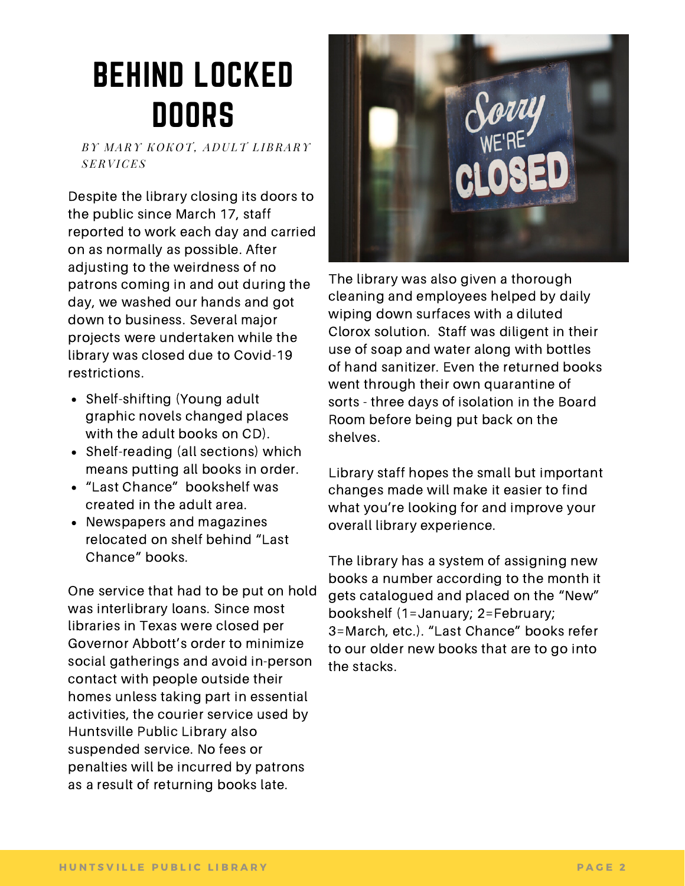# BEHIND LOCKED DOORS

*BY M ARY K O K O T, A D ULT L IBRARY SERVICES*

Despite the library closing its doors to the public since March 17, staff reported to work each day and carried on as normally as possible. After adjusting to the weirdness of no patrons coming in and out during the day, we washed our hands and got down to business. Several major projects were undertaken while the library was closed due to Covid-19 restrictions.

- Shelf-shifting (Young adult graphic novels changed places with the adult books on CD).
- Shelf-reading (all sections) which means putting all books in order.
- "Last Chance" bookshelf was created in the adult area.
- Newspapers and magazines relocated on shelf behind "Last Chance" books.

One service that had to be put on hold was interlibrary loans. Since most libraries in Texas were closed per Governor Abbott's order to minimize social gatherings and avoid in-person contact with people outside their homes unless taking part in essential activities, the courier service used by Huntsville Public Library also suspended service. No fees or penalties will be incurred by patrons as a result of returning books late.



The library was also given a thorough cleaning and employees helped by daily wiping down surfaces with a diluted Clorox solution. Staff was diligent in their use of soap and water along with bottles of hand sanitizer. Even the returned books went through their own quarantine of sorts - three days of isolation in the Board Room before being put back on the shelves.

Library staff hopes the small but important changes made will make it easier to find what you're looking for and improve your overall library experience.

The library has a system of assigning new books a number according to the month it gets catalogued and placed on the "New" bookshelf (1=January; 2=February; 3=March, etc.). "Last Chance" books refer to our older new books that are to go into the stacks.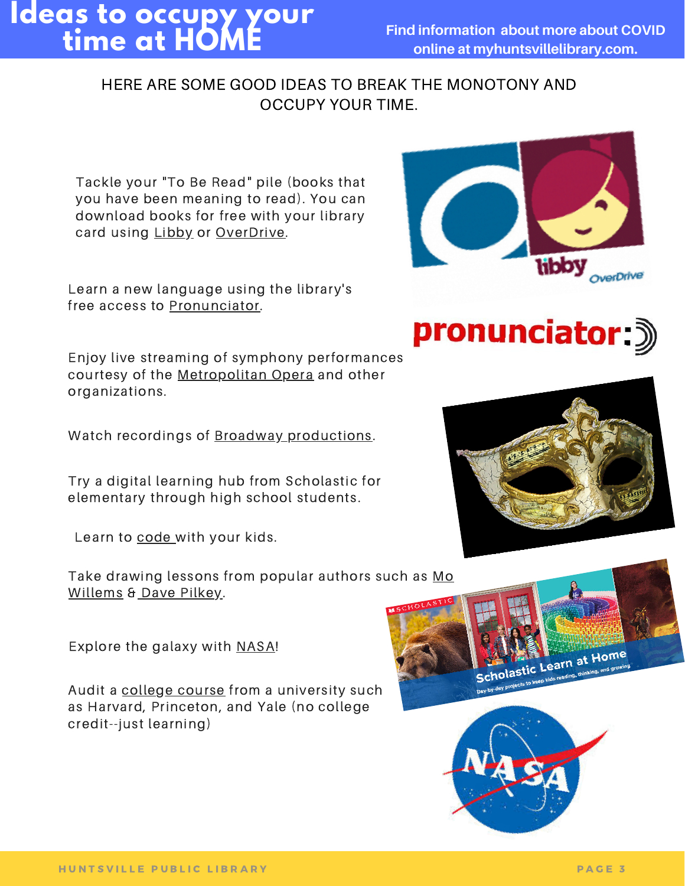### **Ideas to occupy your time at HOME**

#### HERE ARE SOME GOOD IDEAS TO BREAK THE MONOTONY AND OCCUPY YOUR TIME.

Tackle your "To Be Read" pile (books that you have been meaning to read). You can download books for free with your library card using [Libby](https://www.overdrive.com/apps/libby/) or [OverDrive.](https://www.overdrive.com/account/sign-in?returnUrl=%2F)

Learn a new language using the library's free access to [Pronunciator.](http://learning.pronunciator.com/getstarted.php?library_id=)

Enjoy live streaming of symphony performances courtesy of the [Metropolitan](https://www.metopera.org/) Opera and other organizations.

Watch recordings of **Broadway** [productions](https://www.classicfm.com/composers/lloyd-webber/musicals-stream-free-coronavirus-theatre-closures/).

Try a digital learning hub from Scholastic for elementary through high school students.

Learn to [code](https://scratch.mit.edu/) with your kids.

Take [drawing](https://www.kennedy-center.org/education/mo-willems/) lessons from popular authors such as Mo Willems & Dave [Pilkey](https://kids.scholastic.com/kids/books/dav-pilkey-at-home/).

Explore the galaxy with [NASA](https://www.jpl.nasa.gov/edu/teachable-moments/)!

Audit a [college](https://www.businessinsider.com/free-online-courses-from-best-colleges) course from a university such as Harvard, Princeton, and Yale (no college credit--just learning)



pronunciator 3



holastic Learn at Home